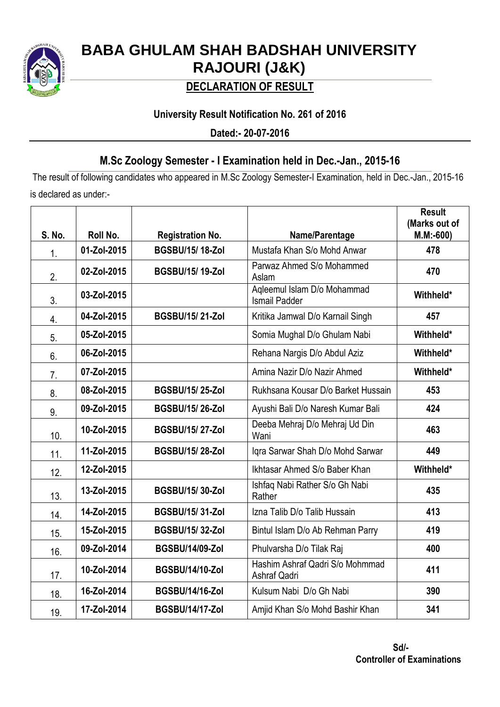

# **BABA GHULAM SHAH BADSHAH UNIVERSITY RAJOURI (J&K)**

## **DECLARATION OF RESULT**

## **University Result Notification No. 261 of 2016**

**Dated:- 20-07-2016**

## **M.Sc Zoology Semester - I Examination held in Dec.-Jan., 2015-16**

The result of following candidates who appeared in M.Sc Zoology Semester-I Examination, held in Dec.-Jan., 2015-16 is declared as under:-

|        |             |                         |                                                     | <b>Result</b><br>(Marks out of |
|--------|-------------|-------------------------|-----------------------------------------------------|--------------------------------|
| S. No. | Roll No.    | <b>Registration No.</b> | Name/Parentage                                      | $M.M:=600$                     |
| 1.     | 01-Zol-2015 | <b>BGSBU/15/18-Zol</b>  | Mustafa Khan S/o Mohd Anwar                         | 478                            |
| 2.     | 02-Zol-2015 | <b>BGSBU/15/19-Zol</b>  | Parwaz Ahmed S/o Mohammed<br>Aslam                  | 470                            |
| 3.     | 03-Zol-2015 |                         | Agleemul Islam D/o Mohammad<br><b>Ismail Padder</b> | Withheld*                      |
| 4.     | 04-Zol-2015 | <b>BGSBU/15/21-Zol</b>  | Kritika Jamwal D/o Karnail Singh                    | 457                            |
| 5.     | 05-Zol-2015 |                         | Somia Mughal D/o Ghulam Nabi                        | Withheld*                      |
| 6.     | 06-Zol-2015 |                         | Rehana Nargis D/o Abdul Aziz                        | Withheld*                      |
| 7.     | 07-Zol-2015 |                         | Amina Nazir D/o Nazir Ahmed                         | Withheld*                      |
| 8.     | 08-Zol-2015 | <b>BGSBU/15/25-Zol</b>  | Rukhsana Kousar D/o Barket Hussain                  | 453                            |
| 9.     | 09-Zol-2015 | <b>BGSBU/15/26-Zol</b>  | Ayushi Bali D/o Naresh Kumar Bali                   | 424                            |
| 10.    | 10-Zol-2015 | <b>BGSBU/15/27-Zol</b>  | Deeba Mehraj D/o Mehraj Ud Din<br>Wani              | 463                            |
| 11.    | 11-Zol-2015 | <b>BGSBU/15/28-Zol</b>  | Iqra Sarwar Shah D/o Mohd Sarwar                    | 449                            |
| 12.    | 12-Zol-2015 |                         | Ikhtasar Ahmed S/o Baber Khan                       | Withheld*                      |
| 13.    | 13-Zol-2015 | <b>BGSBU/15/30-Zol</b>  | Ishfaq Nabi Rather S/o Gh Nabi<br>Rather            | 435                            |
| 14.    | 14-Zol-2015 | <b>BGSBU/15/31-Zol</b>  | Izna Talib D/o Talib Hussain                        | 413                            |
| 15.    | 15-Zol-2015 | <b>BGSBU/15/32-Zol</b>  | Bintul Islam D/o Ab Rehman Parry                    | 419                            |
| 16.    | 09-Zol-2014 | <b>BGSBU/14/09-Zol</b>  | Phulvarsha D/o Tilak Raj                            | 400                            |
| 17.    | 10-Zol-2014 | <b>BGSBU/14/10-Zol</b>  | Hashim Ashraf Qadri S/o Mohmmad<br>Ashraf Qadri     | 411                            |
| 18.    | 16-Zol-2014 | <b>BGSBU/14/16-Zol</b>  | Kulsum Nabi D/o Gh Nabi                             | 390                            |
| 19.    | 17-Zol-2014 | <b>BGSBU/14/17-Zol</b>  | Amjid Khan S/o Mohd Bashir Khan                     | 341                            |